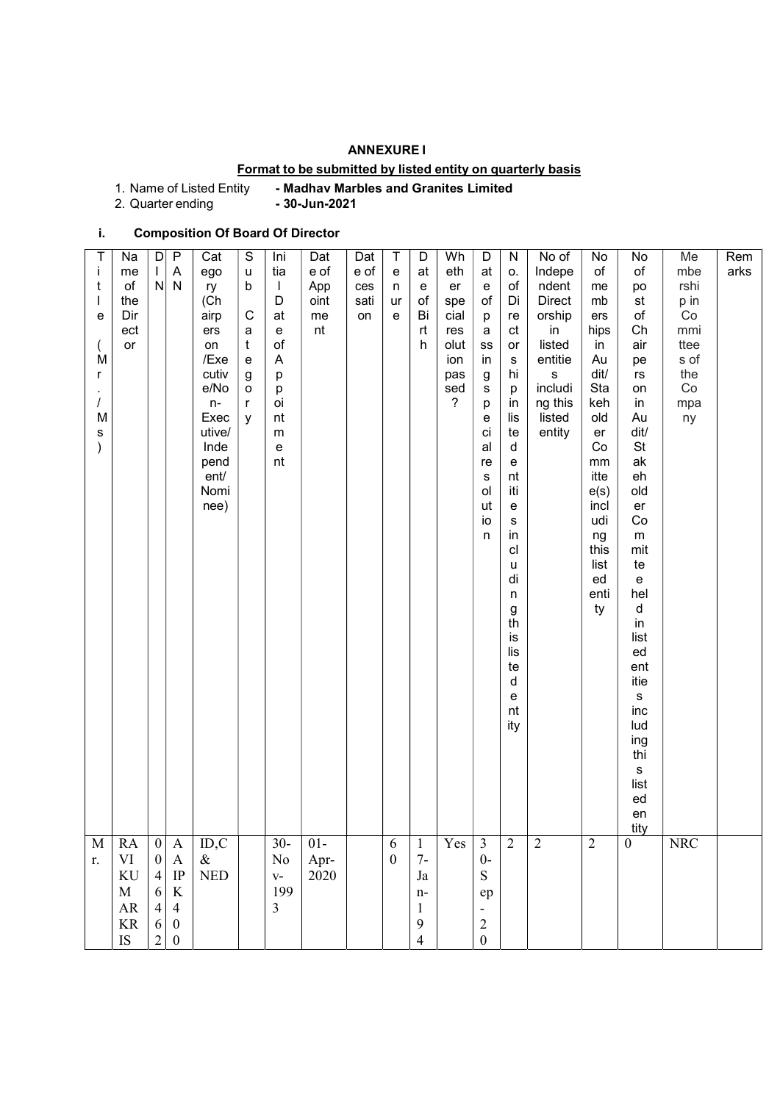### ANNEXURE I

## Format to be submitted by listed entity on quarterly basis

1. Name of Listed Entity - Madhav Marbles and Granites Limited<br>2. Quarter ending - 30-Jun-2021

2. Quarter ending

# i. Composition Of Board Of Director

| $\overline{\text{M}}$<br>r.                                                                                | T<br>j<br>t<br>e<br>M<br>r<br>M<br>s                                                                                                                                                                         |
|------------------------------------------------------------------------------------------------------------|--------------------------------------------------------------------------------------------------------------------------------------------------------------------------------------------------------------|
| ${\sf RA}$<br>$\mbox{VI}$<br>$\rm KU$<br>$\mathbf M$<br>$\mathbf{A}\mathbf{R}$<br>$\rm KR$<br>IS           | Na<br>me<br>of<br>the<br>Dir<br>ect<br>or                                                                                                                                                                    |
| 0 <br>$\boldsymbol{0}$<br>$4\vert$<br>6<br>$\vert 4 \vert$<br>$6\vert$<br>$\overline{2}$                   | $\vert D \vert$<br>$\perp$                                                                                                                                                                                   |
| $\overline{A}$<br>$\mathbf A$<br>$\rm IP$<br>$\rm K$<br>$\overline{4}$<br>$\mathbf{0}$<br>$\boldsymbol{0}$ | $\overline{P}$<br>$\boldsymbol{\mathsf{A}}$<br>$N$ $N$                                                                                                                                                       |
| ID, C<br>$\&$<br>$\ensuremath{\mathsf{NED}}$                                                               | Cat<br>ego<br>ry<br>(Ch<br>airp<br>ers<br>on<br>/Exe<br>cutiv<br>e/No<br>$n-$<br>Exec<br>utive/<br>Inde<br>pend<br>ent/<br>Nomi<br>nee)                                                                      |
|                                                                                                            | S<br>u<br>b<br>$\mathsf C$<br>a<br>t<br>e<br>g<br>$\mathsf{o}$<br>$\mathsf{r}$<br>У                                                                                                                          |
| $30-$<br>$\rm No$<br>$\mathbf{V}$ –<br>199<br>3                                                            | Ini<br>tia<br>$\mathbf{I}$<br>D<br>at<br>e<br>of<br>$\overline{A}$<br>p<br>p<br>oi<br>nt<br>m<br>e<br>nt                                                                                                     |
| $01-$<br>Apr-<br>2020                                                                                      | Dat<br>e of<br>App<br>oint<br>me<br>nt                                                                                                                                                                       |
|                                                                                                            | Dat<br>e of<br>ces<br>sati<br>on                                                                                                                                                                             |
| 6<br>$\boldsymbol{0}$                                                                                      | Τ<br>e<br>n<br>ur<br>e                                                                                                                                                                                       |
| $\mathbf{1}$<br>$7-$<br>$_{\mathrm{Ja}}$<br>$n-$<br>$\mathbf 1$<br>9<br>$\overline{4}$                     | D<br>at<br>e<br>of<br>Bi<br>rt<br>h                                                                                                                                                                          |
| $\operatorname{Yes}$                                                                                       | Wh<br>eth<br>er<br>spe<br>cial<br>res<br>olut<br>ion<br>pas<br>sed<br>$\overline{?}$                                                                                                                         |
| $\frac{3}{0}$<br>${\bf S}$<br>${\rm e p}$<br>$\overline{c}$<br>$\boldsymbol{0}$                            | D<br>at<br>e<br>of<br>p<br>a<br>${\tt ss}$<br>in<br>g<br>${\bf s}$<br>p<br>e<br>сi<br>al<br>re<br>${\sf s}$<br>ol<br>ut<br>io<br>n                                                                           |
| nt<br>ity<br>$\overline{2}$                                                                                | ${\sf N}$<br>О.<br>of<br>Di<br>re<br>ct<br>or<br>s<br>hi<br>p<br>in<br>lis<br>te<br>d<br>e<br>nt<br>iti<br>e<br>${\bf s}$<br>in<br>cl<br>u<br>di<br>n<br>g<br>th<br>is<br>lis<br>te<br>d<br>e                |
| $\sqrt{2}$                                                                                                 | No of<br>Indepe<br>ndent<br><b>Direct</b><br>orship<br>in<br>listed<br>entitie<br>${\bf s}$<br>includi<br>ng this<br>listed<br>entity                                                                        |
| $\sqrt{2}$                                                                                                 | No<br>of<br>me<br>mb<br>ers<br>hips<br>in<br>Au<br>dit/<br>Sta<br>keh<br>old<br>er<br>Co<br>$\,mm$<br>itte<br>e(s)<br>incl<br>udi<br>ng<br>this<br>list<br>ed<br>enti<br>ty                                  |
| inc<br>lud<br>ing<br>thi<br>s<br>list<br>ed<br>en<br>tity<br>$\boldsymbol{0}$                              | No<br>$\circ f$<br>po<br>st<br>of<br>Ch<br>air<br>pe<br>rs<br>on<br>in<br>Au<br>dit/<br>St<br>ak<br>eh<br>old<br>er<br>Co<br>${\sf m}$<br>mit<br>te<br>e<br>hel<br>d<br>in<br>list<br>ed<br>ent<br>itie<br>S |
| <b>NRC</b>                                                                                                 | Me<br>mbe<br>rshi<br>p in<br>Co<br>mmi<br>ttee<br>s of<br>the<br>Co<br>mpa<br>ny                                                                                                                             |
|                                                                                                            | Rem<br>arks                                                                                                                                                                                                  |
|                                                                                                            |                                                                                                                                                                                                              |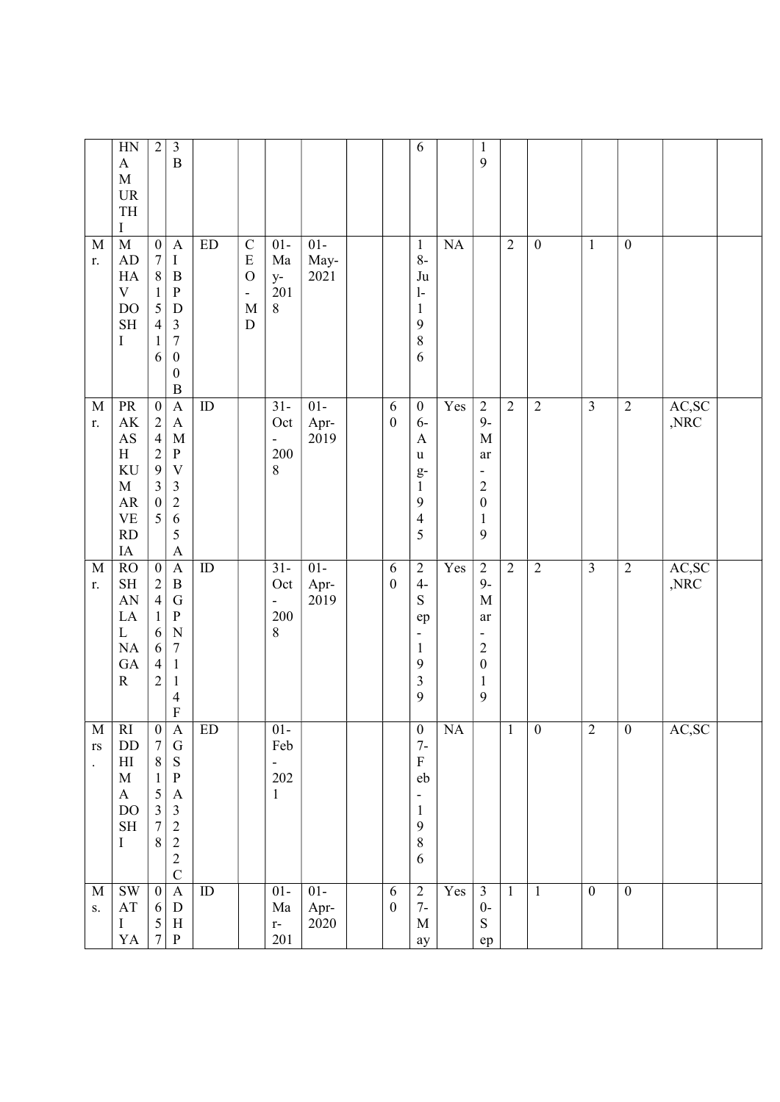|                                                     | HN<br>$\mathbf{A}$<br>$\mathbf M$<br>$\ensuremath{\mathsf{UR}}\xspace$<br>$\ensuremath{\mathsf{T}}\ensuremath{\mathsf{H}}$<br>Ι | $\mathbf{2}$                                                                                                            | $\overline{\mathbf{3}}$<br>$\boldsymbol{B}$                                                                                                                                      |                            |                                                                                                        |                                                       |                       |                                | 6                                                                                                                 |           | $\mathbf{1}$<br>9                                                                                                                 |                |                  |                         |                  |                         |  |
|-----------------------------------------------------|---------------------------------------------------------------------------------------------------------------------------------|-------------------------------------------------------------------------------------------------------------------------|----------------------------------------------------------------------------------------------------------------------------------------------------------------------------------|----------------------------|--------------------------------------------------------------------------------------------------------|-------------------------------------------------------|-----------------------|--------------------------------|-------------------------------------------------------------------------------------------------------------------|-----------|-----------------------------------------------------------------------------------------------------------------------------------|----------------|------------------|-------------------------|------------------|-------------------------|--|
| $\mathbf M$<br>r.                                   | $\mathbf M$<br>AD<br>HA<br>$\mathbf V$<br><b>DO</b><br>$\operatorname{SH}$<br>I                                                 | $\boldsymbol{0}$<br>$\sqrt{ }$<br>$\,8\,$<br>$\mathbf{1}$<br>5<br>$\overline{4}$<br>$\mathbf{1}$<br>6                   | $\mathbf{A}$<br>$\bf{I}$<br>$\, {\bf B}$<br>${\bf P}$<br>$\label{eq:1} \mathbf{D}$<br>$\mathfrak{Z}$<br>$\boldsymbol{7}$<br>$\boldsymbol{0}$<br>$\boldsymbol{0}$<br>$\, {\bf B}$ | $\mathop{\rm ED}\nolimits$ | $\mathbf C$<br>${\bf E}$<br>$\overline{O}$<br>$\qquad \qquad \blacksquare$<br>$\mathbf M$<br>${\bf D}$ | $01-$<br>Ma<br>$y-$<br>201<br>$\,8\,$                 | $01-$<br>May-<br>2021 |                                | $\mathbf{1}$<br>$8-$<br>Ju<br>$\mathbf{1}$<br>$\mathbf{1}$<br>9<br>8<br>6                                         | <b>NA</b> |                                                                                                                                   | $\overline{2}$ | $\boldsymbol{0}$ | $\mathbf{1}$            | $\boldsymbol{0}$ |                         |  |
| $\mathbf M$<br>r.                                   | $\rm PR$<br>$\mathbf{A}\mathbf{K}$<br>AS<br>H<br>KU<br>$\mathbf M$<br>${\sf AR}$<br><b>VE</b><br>RD<br>$\rm IA$                 | $\boldsymbol{0}$<br>$\frac{2}{4}$<br>$\overline{c}$<br>$\mathbf{9}$<br>$\overline{\mathbf{3}}$<br>$\boldsymbol{0}$<br>5 | $\mathbf{A}$<br>$\mathbf{A}$<br>$\mathbf M$<br>${\bf P}$<br>$\mathbf V$<br>$\mathfrak{Z}$<br>$\overline{c}$<br>6<br>5<br>$\mathbf{A}$                                            | ${\rm ID}$                 |                                                                                                        | $31 -$<br>Oct<br>$\overline{\phantom{0}}$<br>200<br>8 | $01-$<br>Apr-<br>2019 | 6<br>$\boldsymbol{0}$          | $\boldsymbol{0}$<br>$6-$<br>A<br>u<br>$g-$<br>$\,1\,$<br>$\mathbf{9}$<br>$\overline{4}$<br>5                      | Yes       | $\sqrt{2}$<br>$9-$<br>$\mathbf M$<br>ar<br>$\qquad \qquad \blacksquare$<br>$\overline{c}$<br>$\boldsymbol{0}$<br>$\mathbf 1$<br>9 | $\overline{2}$ | $\overline{2}$   | $\overline{\mathbf{3}}$ | $\overline{2}$   | AC,SC<br>$,\!{\rm NRC}$ |  |
| $\mathbf M$<br>r.                                   | RO<br>$\operatorname{SH}$<br>AN<br>$\rm LA$<br>$\mathbf L$<br>NA<br>GA<br>${\bf R}$                                             | $\overline{0}$<br>$\frac{2}{4}$<br>$\mathbf{1}$<br>$\sqrt{6}$<br>$\sqrt{6}$<br>$\overline{4}$<br>$\overline{c}$         | $\overline{A}$<br>$\, {\bf B}$<br>${\bf G}$<br>${\bf P}$<br>$\mathbf N$<br>$\boldsymbol{7}$<br>$\mathbf{1}$<br>$\mathbf{1}$<br>$\overline{4}$<br>$\overline{F}$                  | ID                         |                                                                                                        | $31 -$<br>Oct<br>200<br>8                             | $01-$<br>Apr-<br>2019 | $\sqrt{6}$<br>$\boldsymbol{0}$ | $\overline{2}$<br>$4-$<br>${\bf S}$<br>ep<br>-<br>$\mathbf{1}$<br>9<br>$\mathfrak{Z}$<br>9                        | Yes       | $\overline{2}$<br>$9-$<br>$\mathbf M$<br>ar<br>$\overline{c}$<br>$\boldsymbol{0}$<br>$\mathbf{1}$<br>$\mathbf{9}$                 | $\overline{2}$ | $\overline{2}$   | $\overline{3}$          | $\overline{2}$   | AC,SC<br>,NRC           |  |
| M<br>$\mathbf{r}\mathbf{s}$<br>$\ddot{\phantom{a}}$ | <sub>RI</sub><br>DD<br>$\mathop{\rm HI}\nolimits$<br>$\mathbf M$<br>$\bf{A}$<br><b>DO</b><br>$\operatorname{SH}$<br>I           | $\boldsymbol{0}$<br>$\overline{7}$<br>$8\,$<br>$\mathbf{1}$<br>5<br>$\overline{3}$<br>$\overline{7}$<br>$8\,$           | $\mathbf{A}$<br>${\bf G}$<br>${\bf S}$<br>${\bf P}$<br>$\boldsymbol{A}$<br>$\mathfrak{Z}$<br>$\sqrt{2}$<br>$\overline{2}$<br>$\sqrt{2}$<br>$\overline{C}$                        | ED                         |                                                                                                        | $01 -$<br>Feb<br>-<br>202<br>$\mathbf{1}$             |                       |                                | $\boldsymbol{0}$<br>$7-$<br>${\bf F}$<br>eb<br>$\overline{\phantom{0}}$<br>$\mathbf{1}$<br>$\mathbf{9}$<br>8<br>6 | NA        |                                                                                                                                   | $\mathbf{1}$   | $\boldsymbol{0}$ | $\overline{2}$          | $\boldsymbol{0}$ | AC, SC                  |  |
| $\mathbf M$<br>S.                                   | <b>SW</b><br>$\mathbf{A}\mathbf{T}$<br>$\bf I$<br>YA                                                                            | $\overline{0}$<br>6<br>$\mathfrak{H}$<br>$\boldsymbol{7}$                                                               | $\mathbf{A}$<br>${\bf D}$<br>$\, {\rm H}$<br>$\, {\bf p}$                                                                                                                        | $\rm ID$                   |                                                                                                        | $01-$<br>$\rm{Ma}$<br>$\mathbf{r}$ -<br>201           | $01-$<br>Apr-<br>2020 | 6<br>$\boldsymbol{0}$          | $\mathbf{2}$<br>$7-$<br>$\mathbf M$<br>ay                                                                         | Yes       | $\overline{3}$<br>$0-$<br>${\bf S}$<br>ep                                                                                         | $\mathbf{1}$   | $\mathbf{1}$     | $\mathbf{0}$            | $\boldsymbol{0}$ |                         |  |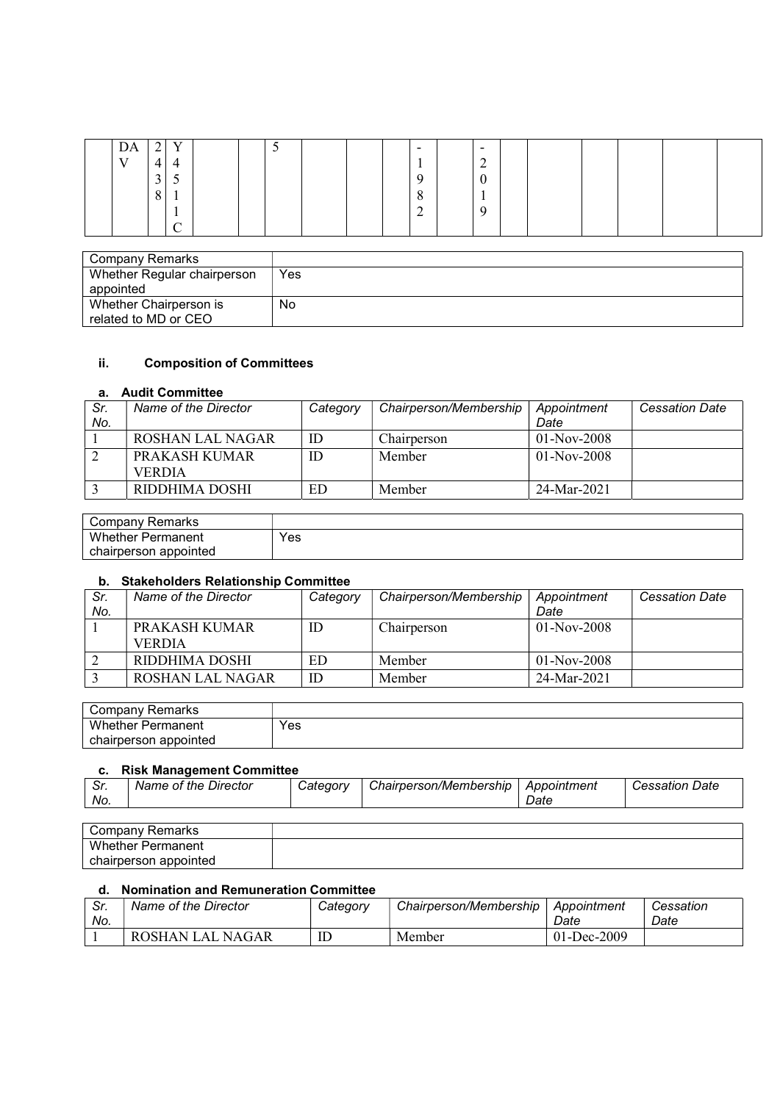| DA           | ◠<br>∸ | $\mathbf{V}$    |  | ັ |  | $\overline{\phantom{0}}$ | $\overline{\phantom{0}}$ |  |  |  |
|--------------|--------|-----------------|--|---|--|--------------------------|--------------------------|--|--|--|
| $\mathbf{V}$ | 4      | 4               |  |   |  |                          | $\sim$<br>$\overline{ }$ |  |  |  |
|              | 3      | ◡               |  |   |  | a                        | $\curvearrowright$<br>0  |  |  |  |
|              | 8      | $\mathbf{r}$    |  |   |  | $\Omega$<br>$\circ$      | $\mathbf{r}$             |  |  |  |
|              |        | л.              |  |   |  | ◠<br>∠                   | Q                        |  |  |  |
|              |        | $\sqrt{ }$<br>◡ |  |   |  |                          |                          |  |  |  |

| Company Remarks             |     |
|-----------------------------|-----|
| Whether Regular chairperson | Yes |
| appointed                   |     |
| Whether Chairperson is      | No  |
| related to MD or CEO        |     |

### ii. Composition of Committees

#### a. Audit Committee

| Sr. | Name of the Director | Category | Chairperson/Membership | Appointment   | <b>Cessation Date</b> |
|-----|----------------------|----------|------------------------|---------------|-----------------------|
| No. |                      |          |                        | Date          |                       |
|     | ROSHAN LAL NAGAR     | ID       | Chairperson            | $01-Nov-2008$ |                       |
|     | PRAKASH KUMAR        | ID       | Member                 | $01-Nov-2008$ |                       |
|     | <b>VERDIA</b>        |          |                        |               |                       |
|     | RIDDHIMA DOSHI       | ED       | Member                 | 24-Mar-2021   |                       |

| Companv<br>Remarks       |     |
|--------------------------|-----|
| <b>Whether Permanent</b> | Yes |
| chairperson appointed    |     |

### b. Stakeholders Relationship Committee

| Sr.<br>No. | Name of the Director           | Category | Chairperson/Membership | Appointment<br>Date | <b>Cessation Date</b> |
|------------|--------------------------------|----------|------------------------|---------------------|-----------------------|
|            | PRAKASH KUMAR<br><b>VERDIA</b> | ID       | Chairperson            | $01-Nov-2008$       |                       |
|            | RIDDHIMA DOSHI                 | ED       | Member                 | $01-Nov-2008$       |                       |
|            | <b>ROSHAN LAL NAGAR</b>        | ID       | Member                 | 24-Mar-2021         |                       |

| ∵Remarks<br>Company   |     |
|-----------------------|-----|
| Whether<br>Permanent  | Yes |
| chairperson appointed |     |

#### c. Risk Management Committee

|            | -----                                            |                 |                        |             |                   |
|------------|--------------------------------------------------|-----------------|------------------------|-------------|-------------------|
| ົ~<br>. ات | Name of the $\overline{\phantom{a}}$<br>Director | <i>Category</i> | Chairperson/Membership | Appointment | Date<br>Cessation |
| No.        |                                                  |                 |                        | Date        |                   |

| Company Remarks       |  |
|-----------------------|--|
| Whether Permanent     |  |
| chairperson appointed |  |

#### d. Nomination and Remuneration Committee

| Sr.<br>No. | Name of the Director | Category | Chairperson/Membership | Appointment<br>Date | Cessation<br>Date |
|------------|----------------------|----------|------------------------|---------------------|-------------------|
|            | ROSHAN LAL NAGAR     | ID       | Member                 | 01-Dec-2009         |                   |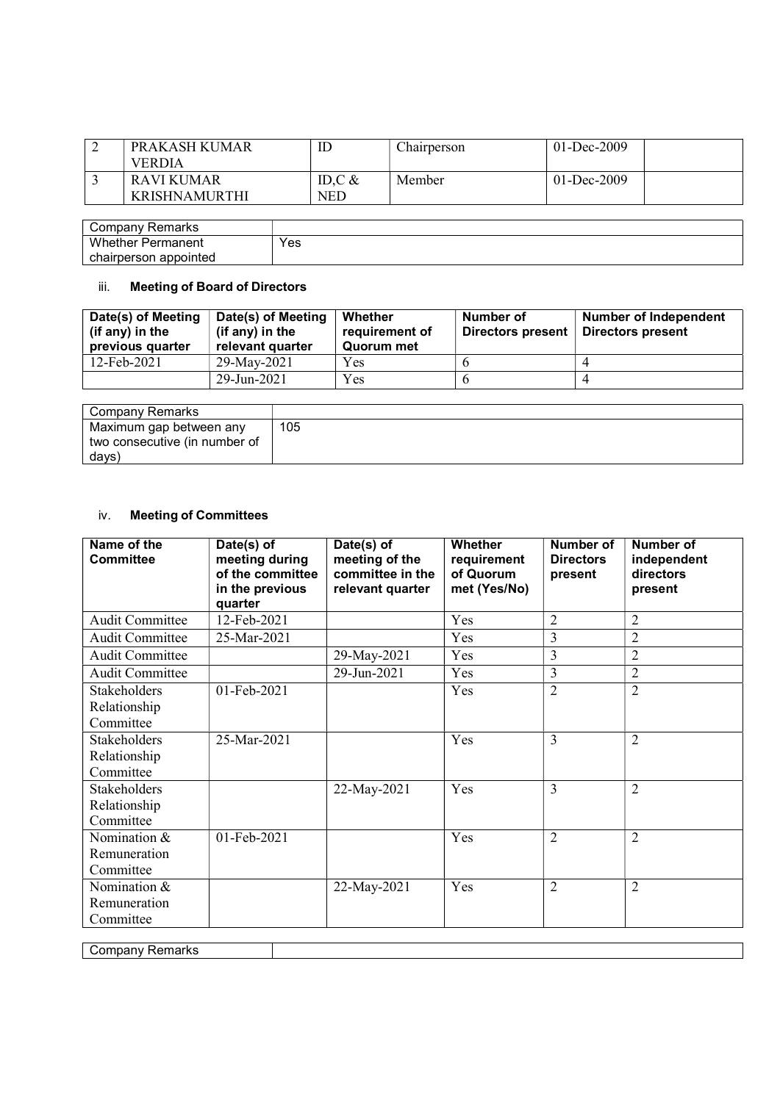| PRAKASH KUMAR<br><b>VERDIA</b>     | L               | Chairperson | 01-Dec-2009     |
|------------------------------------|-----------------|-------------|-----------------|
| RAVI KUMAR<br><b>KRISHNAMURTHI</b> | ID.C $&$<br>NED | Member      | $01 - Dec-2009$ |

| Company Remarks          |     |
|--------------------------|-----|
| <b>Whether Permanent</b> | Yes |
| chairperson appointed    |     |

## iii. Meeting of Board of Directors

| Date(s) of Meeting<br>(if any) in the<br>previous quarter | Date(s) of Meeting<br>(if any) in the<br>relevant quarter | Whether<br>requirement of<br>Quorum met | Number of<br>Directors present | Number of Independent<br>Directors present |
|-----------------------------------------------------------|-----------------------------------------------------------|-----------------------------------------|--------------------------------|--------------------------------------------|
| 12-Feb-2021                                               | 29-May-2021                                               | <b>Yes</b>                              |                                |                                            |
|                                                           | 29-Jun-2021                                               | <b>Yes</b>                              |                                |                                            |

| Company Remarks               |     |
|-------------------------------|-----|
| Maximum gap between any       | 105 |
| two consecutive (in number of |     |
| days)                         |     |

## iv. Meeting of Committees

| Name of the<br><b>Committee</b>                  | Date(s) of<br>meeting during<br>of the committee<br>in the previous<br>quarter | Date(s) of<br>meeting of the<br>committee in the<br>relevant quarter | Whether<br>requirement<br>of Quorum<br>met (Yes/No) | <b>Number of</b><br><b>Directors</b><br>present | Number of<br>independent<br>directors<br>present |
|--------------------------------------------------|--------------------------------------------------------------------------------|----------------------------------------------------------------------|-----------------------------------------------------|-------------------------------------------------|--------------------------------------------------|
| <b>Audit Committee</b>                           | 12-Feb-2021                                                                    |                                                                      | Yes                                                 | $\overline{2}$                                  | $\overline{2}$                                   |
| <b>Audit Committee</b>                           | 25-Mar-2021                                                                    |                                                                      | Yes                                                 | 3                                               | $\overline{2}$                                   |
| <b>Audit Committee</b>                           |                                                                                | 29-May-2021                                                          | Yes                                                 | 3                                               | $\overline{2}$                                   |
| <b>Audit Committee</b>                           |                                                                                | 29-Jun-2021                                                          | Yes                                                 | 3                                               | $\overline{2}$                                   |
| Stakeholders<br>Relationship<br>Committee        | 01-Feb-2021                                                                    |                                                                      | Yes                                                 | $\overline{2}$                                  | $\overline{2}$                                   |
| Stakeholders<br>Relationship<br>Committee        | 25-Mar-2021                                                                    |                                                                      | Yes                                                 | 3                                               | $\overline{2}$                                   |
| <b>Stakeholders</b><br>Relationship<br>Committee |                                                                                | 22-May-2021                                                          | Yes                                                 | 3                                               | $\overline{2}$                                   |
| Nomination &<br>Remuneration<br>Committee        | 01-Feb-2021                                                                    |                                                                      | Yes                                                 | $\overline{2}$                                  | $\overline{2}$                                   |
| Nomination &<br>Remuneration<br>Committee        |                                                                                | 22-May-2021                                                          | Yes                                                 | $\overline{2}$                                  | $\overline{2}$                                   |

Company Remarks